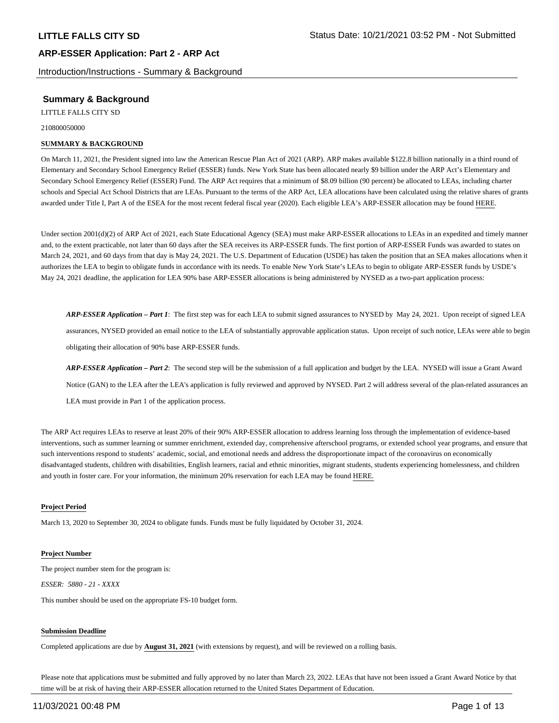Introduction/Instructions - Summary & Background

## **Summary & Background**

LITTLE FALLS CITY SD

210800050000

#### **SUMMARY & BACKGROUND**

On March 11, 2021, the President signed into law the American Rescue Plan Act of 2021 (ARP). ARP makes available \$122.8 billion nationally in a third round of Elementary and Secondary School Emergency Relief (ESSER) funds. New York State has been allocated nearly \$9 billion under the ARP Act's Elementary and Secondary School Emergency Relief (ESSER) Fund. The ARP Act requires that a minimum of \$8.09 billion (90 percent) be allocated to LEAs, including charter schools and Special Act School Districts that are LEAs. Pursuant to the terms of the ARP Act, LEA allocations have been calculated using the relative shares of grants awarded under Title I, Part A of the ESEA for the most recent federal fiscal year (2020). Each eligible LEA's ARP-ESSER allocation may be found HERE.

Under section 2001(d)(2) of ARP Act of 2021, each State Educational Agency (SEA) must make ARP-ESSER allocations to LEAs in an expedited and timely manner and, to the extent practicable, not later than 60 days after the SEA receives its ARP-ESSER funds. The first portion of ARP-ESSER Funds was awarded to states on March 24, 2021, and 60 days from that day is May 24, 2021. The U.S. Department of Education (USDE) has taken the position that an SEA makes allocations when it authorizes the LEA to begin to obligate funds in accordance with its needs. To enable New York State's LEAs to begin to obligate ARP-ESSER funds by USDE's May 24, 2021 deadline, the application for LEA 90% base ARP-ESSER allocations is being administered by NYSED as a two-part application process:

*ARP-ESSER Application – Part 1*: The first step was for each LEA to submit signed assurances to NYSED by May 24, 2021. Upon receipt of signed LEA assurances, NYSED provided an email notice to the LEA of substantially approvable application status. Upon receipt of such notice, LEAs were able to begin obligating their allocation of 90% base ARP-ESSER funds.

*ARP-ESSER Application – Part 2*: The second step will be the submission of a full application and budget by the LEA. NYSED will issue a Grant Award Notice (GAN) to the LEA after the LEA's application is fully reviewed and approved by NYSED. Part 2 will address several of the plan-related assurances an LEA must provide in Part 1 of the application process.

The ARP Act requires LEAs to reserve at least 20% of their 90% ARP-ESSER allocation to address learning loss through the implementation of evidence-based interventions, such as summer learning or summer enrichment, extended day, comprehensive afterschool programs, or extended school year programs, and ensure that such interventions respond to students' academic, social, and emotional needs and address the disproportionate impact of the coronavirus on economically disadvantaged students, children with disabilities, English learners, racial and ethnic minorities, migrant students, students experiencing homelessness, and children and youth in foster care. For your information, the minimum 20% reservation for each LEA may be found HERE.

#### **Project Period**

March 13, 2020 to September 30, 2024 to obligate funds. Funds must be fully liquidated by October 31, 2024.

#### **Project Number**

The project number stem for the program is: *ESSER: 5880 - 21 - XXXX*

This number should be used on the appropriate FS-10 budget form.

#### **Submission Deadline**

Completed applications are due by **August 31, 2021** (with extensions by request), and will be reviewed on a rolling basis.

Please note that applications must be submitted and fully approved by no later than March 23, 2022. LEAs that have not been issued a Grant Award Notice by that time will be at risk of having their ARP-ESSER allocation returned to the United States Department of Education.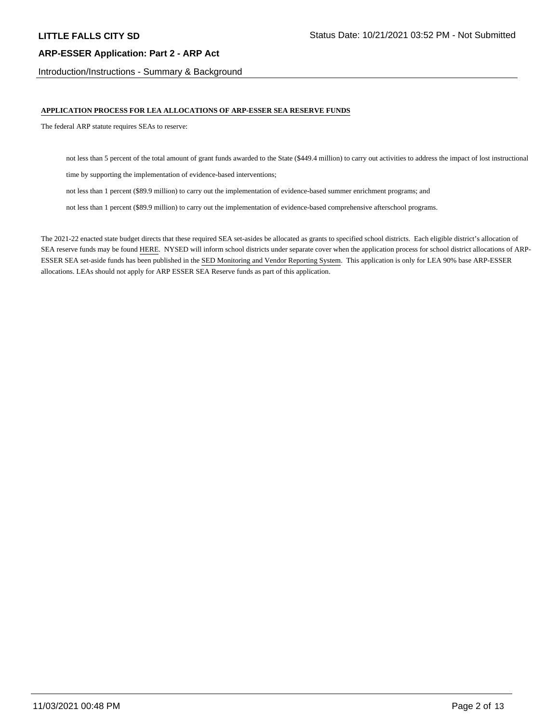Introduction/Instructions - Summary & Background

#### **APPLICATION PROCESS FOR LEA ALLOCATIONS OF ARP-ESSER SEA RESERVE FUNDS**

The federal ARP statute requires SEAs to reserve:

not less than 5 percent of the total amount of grant funds awarded to the State (\$449.4 million) to carry out activities to address the impact of lost instructional

time by supporting the implementation of evidence-based interventions;

not less than 1 percent (\$89.9 million) to carry out the implementation of evidence-based summer enrichment programs; and

not less than 1 percent (\$89.9 million) to carry out the implementation of evidence-based comprehensive afterschool programs.

The 2021-22 enacted state budget directs that these required SEA set-asides be allocated as grants to specified school districts. Each eligible district's allocation of SEA reserve funds may be found HERE. NYSED will inform school districts under separate cover when the application process for school district allocations of ARP-ESSER SEA set-aside funds has been published in the SED Monitoring and Vendor Reporting System. This application is only for LEA 90% base ARP-ESSER allocations. LEAs should not apply for ARP ESSER SEA Reserve funds as part of this application.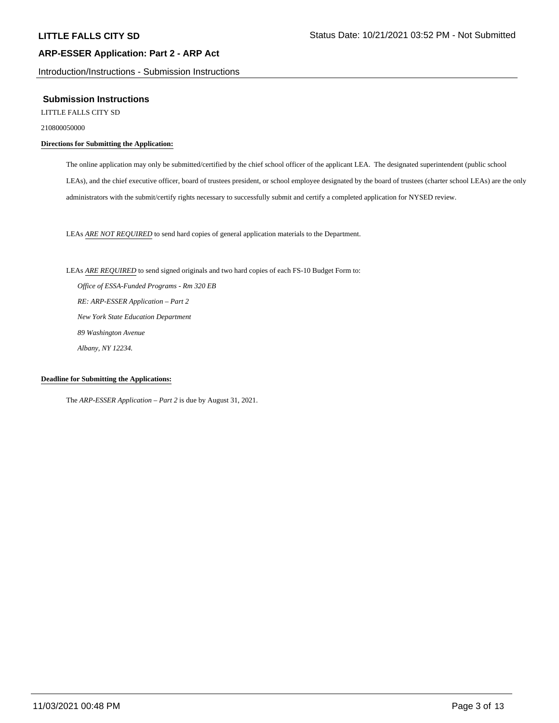Introduction/Instructions - Submission Instructions

#### **Submission Instructions**

LITTLE FALLS CITY SD

210800050000

### **Directions for Submitting the Application:**

The online application may only be submitted/certified by the chief school officer of the applicant LEA. The designated superintendent (public school LEAs), and the chief executive officer, board of trustees president, or school employee designated by the board of trustees (charter school LEAs) are the only administrators with the submit/certify rights necessary to successfully submit and certify a completed application for NYSED review.

LEAs *ARE NOT REQUIRED* to send hard copies of general application materials to the Department.

LEAs *ARE REQUIRED* to send signed originals and two hard copies of each FS-10 Budget Form to:  *Office of ESSA-Funded Programs - Rm 320 EB RE: ARP-ESSER Application – Part 2 New York State Education Department 89 Washington Avenue Albany, NY 12234.*

#### **Deadline for Submitting the Applications:**

The *ARP-ESSER Application – Part 2* is due by August 31, 2021.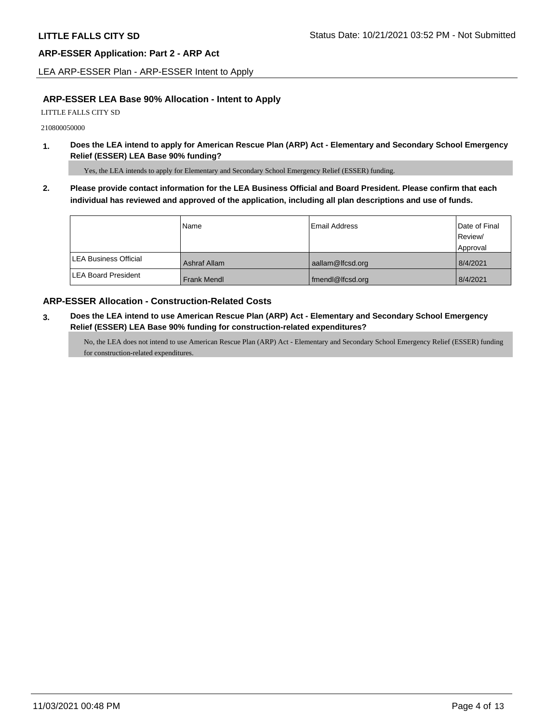LEA ARP-ESSER Plan - ARP-ESSER Intent to Apply

## **ARP-ESSER LEA Base 90% Allocation - Intent to Apply**

LITTLE FALLS CITY SD

210800050000

**1. Does the LEA intend to apply for American Rescue Plan (ARP) Act - Elementary and Secondary School Emergency Relief (ESSER) LEA Base 90% funding?**

Yes, the LEA intends to apply for Elementary and Secondary School Emergency Relief (ESSER) funding.

**2. Please provide contact information for the LEA Business Official and Board President. Please confirm that each individual has reviewed and approved of the application, including all plan descriptions and use of funds.** 

|                               | Name               | Email Address    | Date of Final |
|-------------------------------|--------------------|------------------|---------------|
|                               |                    |                  | Review/       |
|                               |                    |                  | Approval      |
| <b>ILEA Business Official</b> | Ashraf Allam       | aallam@lfcsd.org | 8/4/2021      |
| <b>ILEA Board President</b>   | <b>Frank Mendl</b> | fmendl@lfcsd.org | 8/4/2021      |

## **ARP-ESSER Allocation - Construction-Related Costs**

**3. Does the LEA intend to use American Rescue Plan (ARP) Act - Elementary and Secondary School Emergency Relief (ESSER) LEA Base 90% funding for construction-related expenditures?**

No, the LEA does not intend to use American Rescue Plan (ARP) Act - Elementary and Secondary School Emergency Relief (ESSER) funding for construction-related expenditures.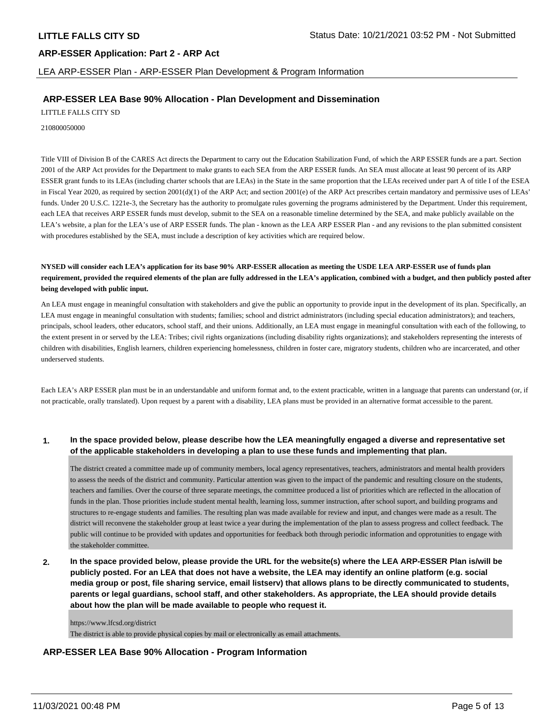LEA ARP-ESSER Plan - ARP-ESSER Plan Development & Program Information

## **ARP-ESSER LEA Base 90% Allocation - Plan Development and Dissemination**

LITTLE FALLS CITY SD

210800050000

Title VIII of Division B of the CARES Act directs the Department to carry out the Education Stabilization Fund, of which the ARP ESSER funds are a part. Section 2001 of the ARP Act provides for the Department to make grants to each SEA from the ARP ESSER funds. An SEA must allocate at least 90 percent of its ARP ESSER grant funds to its LEAs (including charter schools that are LEAs) in the State in the same proportion that the LEAs received under part A of title I of the ESEA in Fiscal Year 2020, as required by section 2001(d)(1) of the ARP Act; and section 2001(e) of the ARP Act prescribes certain mandatory and permissive uses of LEAs' funds. Under 20 U.S.C. 1221e-3, the Secretary has the authority to promulgate rules governing the programs administered by the Department. Under this requirement, each LEA that receives ARP ESSER funds must develop, submit to the SEA on a reasonable timeline determined by the SEA, and make publicly available on the LEA's website, a plan for the LEA's use of ARP ESSER funds. The plan - known as the LEA ARP ESSER Plan - and any revisions to the plan submitted consistent with procedures established by the SEA, must include a description of key activities which are required below.

**NYSED will consider each LEA's application for its base 90% ARP-ESSER allocation as meeting the USDE LEA ARP-ESSER use of funds plan requirement, provided the required elements of the plan are fully addressed in the LEA's application, combined with a budget, and then publicly posted after being developed with public input.**

An LEA must engage in meaningful consultation with stakeholders and give the public an opportunity to provide input in the development of its plan. Specifically, an LEA must engage in meaningful consultation with students; families; school and district administrators (including special education administrators); and teachers, principals, school leaders, other educators, school staff, and their unions. Additionally, an LEA must engage in meaningful consultation with each of the following, to the extent present in or served by the LEA: Tribes; civil rights organizations (including disability rights organizations); and stakeholders representing the interests of children with disabilities, English learners, children experiencing homelessness, children in foster care, migratory students, children who are incarcerated, and other underserved students.

Each LEA's ARP ESSER plan must be in an understandable and uniform format and, to the extent practicable, written in a language that parents can understand (or, if not practicable, orally translated). Upon request by a parent with a disability, LEA plans must be provided in an alternative format accessible to the parent.

### **1. In the space provided below, please describe how the LEA meaningfully engaged a diverse and representative set of the applicable stakeholders in developing a plan to use these funds and implementing that plan.**

The district created a committee made up of community members, local agency representatives, teachers, administrators and mental health providers to assess the needs of the district and community. Particular attention was given to the impact of the pandemic and resulting closure on the students, teachers and families. Over the course of three separate meetings, the committee produced a list of priorities which are reflected in the allocation of funds in the plan. Those priorities include student mental health, learning loss, summer instruction, after school suport, and building programs and structures to re-engage students and families. The resulting plan was made available for review and input, and changes were made as a result. The district will reconvene the stakeholder group at least twice a year during the implementation of the plan to assess progress and collect feedback. The public will continue to be provided with updates and opportunities for feedback both through periodic information and opprotunities to engage with the stakeholder committee.

**2. In the space provided below, please provide the URL for the website(s) where the LEA ARP-ESSER Plan is/will be publicly posted. For an LEA that does not have a website, the LEA may identify an online platform (e.g. social media group or post, file sharing service, email listserv) that allows plans to be directly communicated to students, parents or legal guardians, school staff, and other stakeholders. As appropriate, the LEA should provide details about how the plan will be made available to people who request it.**

https://www.lfcsd.org/district The district is able to provide physical copies by mail or electronically as email attachments.

## **ARP-ESSER LEA Base 90% Allocation - Program Information**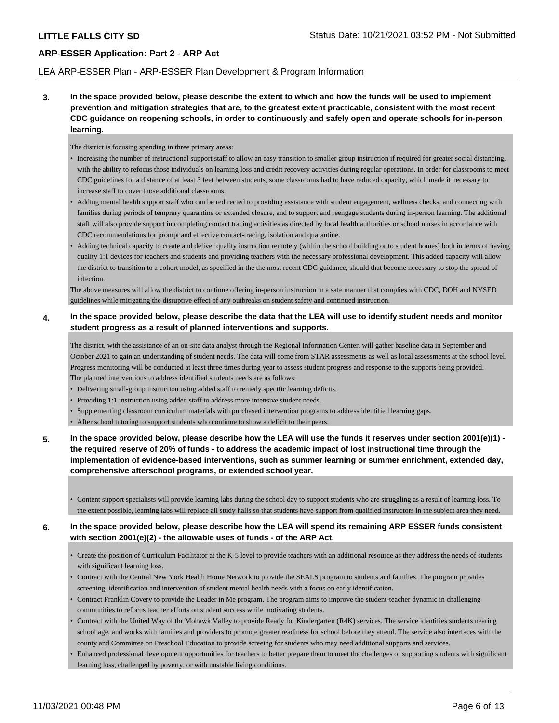### LEA ARP-ESSER Plan - ARP-ESSER Plan Development & Program Information

**3. In the space provided below, please describe the extent to which and how the funds will be used to implement prevention and mitigation strategies that are, to the greatest extent practicable, consistent with the most recent CDC guidance on reopening schools, in order to continuously and safely open and operate schools for in-person learning.**

The district is focusing spending in three primary areas:

- Increasing the number of instructional support staff to allow an easy transition to smaller group instruction if required for greater social distancing, with the ability to refocus those individuals on learning loss and credit recovery activities during regular operations. In order for classrooms to meet CDC guidelines for a distance of at least 3 feet between students, some classrooms had to have reduced capacity, which made it necessary to increase staff to cover those additional classrooms.
- Adding mental health support staff who can be redirected to providing assistance with student engagement, wellness checks, and connecting with families during periods of temprary quarantine or extended closure, and to support and reengage students during in-person learning. The additional staff will also provide support in completing contact tracing activities as directed by local health authorities or school nurses in accordance with CDC recommendations for prompt and effective contact-tracing, isolation and quarantine.
- Adding technical capacity to create and deliver quality instruction remotely (within the school building or to student homes) both in terms of having quality 1:1 devices for teachers and students and providing teachers with the necessary professional development. This added capacity will allow the district to transition to a cohort model, as specified in the the most recent CDC guidance, should that become necessary to stop the spread of infection.

The above measures will allow the district to continue offering in-person instruction in a safe manner that complies with CDC, DOH and NYSED guidelines while mitigating the disruptive effect of any outbreaks on student safety and continued instruction.

### **4. In the space provided below, please describe the data that the LEA will use to identify student needs and monitor student progress as a result of planned interventions and supports.**

The district, with the assistance of an on-site data analyst through the Regional Information Center, will gather baseline data in September and October 2021 to gain an understanding of student needs. The data will come from STAR assessments as well as local assessments at the school level. Progress monitoring will be conducted at least three times during year to assess student progress and response to the supports being provided. The planned interventions to address identified students needs are as follows:

- Delivering small-group instruction using added staff to remedy specific learning deficits.
- Providing 1:1 instruction using added staff to address more intensive student needs.
- Supplementing classroom curriculum materials with purchased intervention programs to address identified learning gaps.
- After school tutoring to support students who continue to show a deficit to their peers.
- **5. In the space provided below, please describe how the LEA will use the funds it reserves under section 2001(e)(1) the required reserve of 20% of funds - to address the academic impact of lost instructional time through the implementation of evidence-based interventions, such as summer learning or summer enrichment, extended day, comprehensive afterschool programs, or extended school year.**
	- Content support specialists will provide learning labs during the school day to support students who are struggling as a result of learning loss. To the extent possible, learning labs will replace all study halls so that students have support from qualified instructors in the subject area they need.

### **6. In the space provided below, please describe how the LEA will spend its remaining ARP ESSER funds consistent with section 2001(e)(2) - the allowable uses of funds - of the ARP Act.**

- Create the position of Curriculum Facilitator at the K-5 level to provide teachers with an additional resource as they address the needs of students with significant learning loss.
- Contract with the Central New York Health Home Network to provide the SEALS program to students and families. The program provides screening, identification and intervention of student mental health needs with a focus on early identification.
- Contract Franklin Covery to provide the Leader in Me program. The program aims to improve the student-teacher dynamic in challenging communities to refocus teacher efforts on student success while motivating students.
- Contract with the United Way of thr Mohawk Valley to provide Ready for Kindergarten (R4K) services. The service identifies students nearing school age, and works with families and providers to promote greater readiness for school before they attend. The service also interfaces with the county and Committee on Preschool Education to provide screeing for students who may need additional supports and services.
- Enhanced professional development opportunities for teachers to better prepare them to meet the challenges of supporting students with significant learning loss, challenged by poverty, or with unstable living conditions.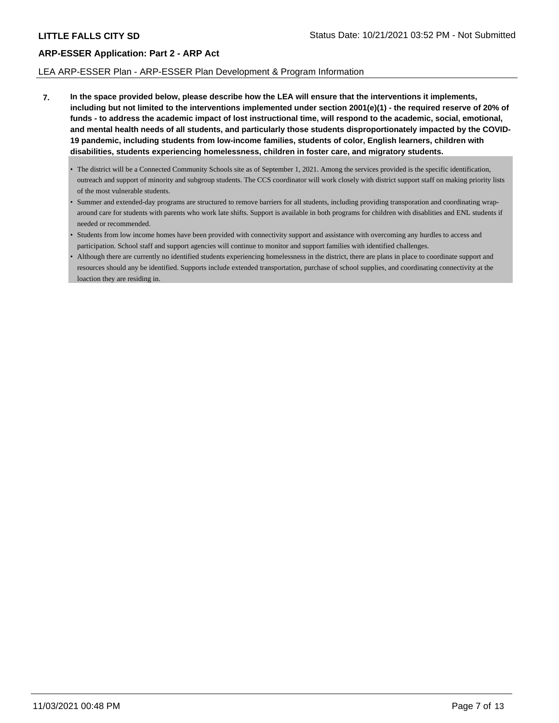#### LEA ARP-ESSER Plan - ARP-ESSER Plan Development & Program Information

- **7. In the space provided below, please describe how the LEA will ensure that the interventions it implements, including but not limited to the interventions implemented under section 2001(e)(1) - the required reserve of 20% of funds - to address the academic impact of lost instructional time, will respond to the academic, social, emotional, and mental health needs of all students, and particularly those students disproportionately impacted by the COVID-19 pandemic, including students from low-income families, students of color, English learners, children with disabilities, students experiencing homelessness, children in foster care, and migratory students.**
	- The district will be a Connected Community Schools site as of September 1, 2021. Among the services provided is the specific identification, outreach and support of minority and subgroup students. The CCS coordinator will work closely with district support staff on making priority lists of the most vulnerable students.
	- Summer and extended-day programs are structured to remove barriers for all students, including providing transporation and coordinating wraparound care for students with parents who work late shifts. Support is available in both programs for children with disablities and ENL students if needed or recommended.
	- Students from low income homes have been provided with connectivity support and assistance with overcoming any hurdles to access and participation. School staff and support agencies will continue to monitor and support families with identified challenges.
	- Although there are currently no identified students experiencing homelessness in the district, there are plans in place to coordinate support and resources should any be identified. Supports include extended transportation, purchase of school supplies, and coordinating connectivity at the loaction they are residing in.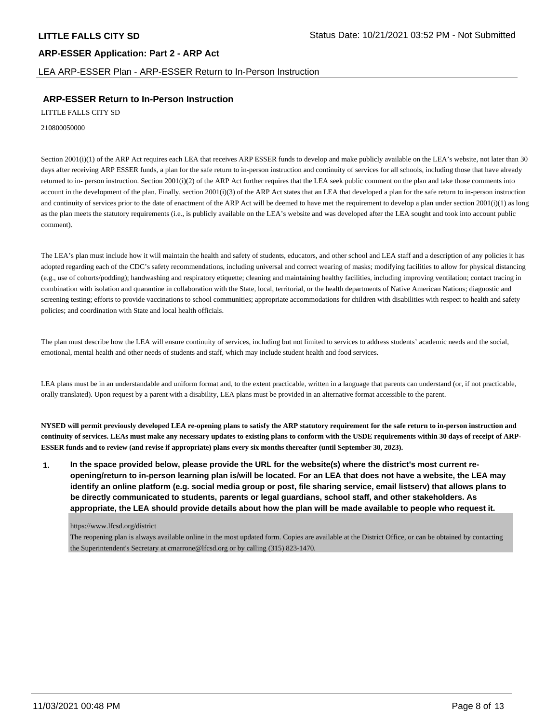LEA ARP-ESSER Plan - ARP-ESSER Return to In-Person Instruction

## **ARP-ESSER Return to In-Person Instruction**

LITTLE FALLS CITY SD

210800050000

Section 2001(i)(1) of the ARP Act requires each LEA that receives ARP ESSER funds to develop and make publicly available on the LEA's website, not later than 30 days after receiving ARP ESSER funds, a plan for the safe return to in-person instruction and continuity of services for all schools, including those that have already returned to in- person instruction. Section 2001(i)(2) of the ARP Act further requires that the LEA seek public comment on the plan and take those comments into account in the development of the plan. Finally, section  $2001(i)(3)$  of the ARP Act states that an LEA that developed a plan for the safe return to in-person instruction and continuity of services prior to the date of enactment of the ARP Act will be deemed to have met the requirement to develop a plan under section  $2001(i)(1)$  as long as the plan meets the statutory requirements (i.e., is publicly available on the LEA's website and was developed after the LEA sought and took into account public comment).

The LEA's plan must include how it will maintain the health and safety of students, educators, and other school and LEA staff and a description of any policies it has adopted regarding each of the CDC's safety recommendations, including universal and correct wearing of masks; modifying facilities to allow for physical distancing (e.g., use of cohorts/podding); handwashing and respiratory etiquette; cleaning and maintaining healthy facilities, including improving ventilation; contact tracing in combination with isolation and quarantine in collaboration with the State, local, territorial, or the health departments of Native American Nations; diagnostic and screening testing; efforts to provide vaccinations to school communities; appropriate accommodations for children with disabilities with respect to health and safety policies; and coordination with State and local health officials.

The plan must describe how the LEA will ensure continuity of services, including but not limited to services to address students' academic needs and the social, emotional, mental health and other needs of students and staff, which may include student health and food services.

LEA plans must be in an understandable and uniform format and, to the extent practicable, written in a language that parents can understand (or, if not practicable, orally translated). Upon request by a parent with a disability, LEA plans must be provided in an alternative format accessible to the parent.

**NYSED will permit previously developed LEA re-opening plans to satisfy the ARP statutory requirement for the safe return to in-person instruction and continuity of services. LEAs must make any necessary updates to existing plans to conform with the USDE requirements within 30 days of receipt of ARP-ESSER funds and to review (and revise if appropriate) plans every six months thereafter (until September 30, 2023).**

**1. In the space provided below, please provide the URL for the website(s) where the district's most current reopening/return to in-person learning plan is/will be located. For an LEA that does not have a website, the LEA may identify an online platform (e.g. social media group or post, file sharing service, email listserv) that allows plans to be directly communicated to students, parents or legal guardians, school staff, and other stakeholders. As appropriate, the LEA should provide details about how the plan will be made available to people who request it.**

https://www.lfcsd.org/district

The reopening plan is always available online in the most updated form. Copies are available at the District Office, or can be obtained by contacting the Superintendent's Secretary at cmarrone@lfcsd.org or by calling (315) 823-1470.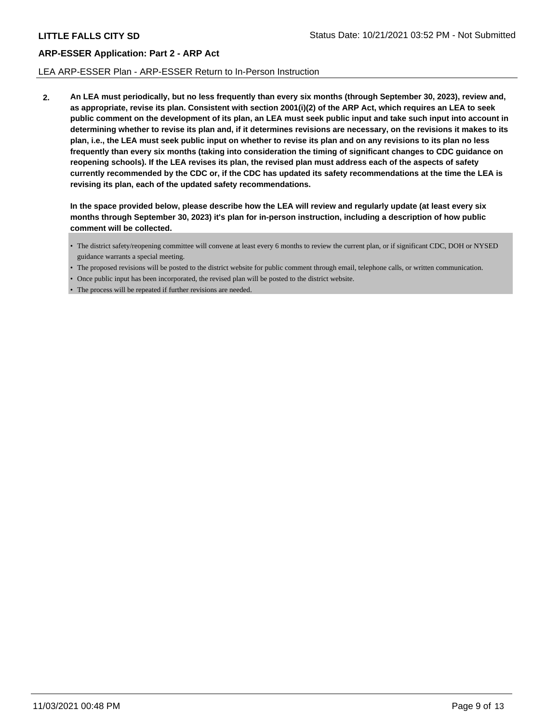#### LEA ARP-ESSER Plan - ARP-ESSER Return to In-Person Instruction

**2. An LEA must periodically, but no less frequently than every six months (through September 30, 2023), review and, as appropriate, revise its plan. Consistent with section 2001(i)(2) of the ARP Act, which requires an LEA to seek public comment on the development of its plan, an LEA must seek public input and take such input into account in determining whether to revise its plan and, if it determines revisions are necessary, on the revisions it makes to its plan, i.e., the LEA must seek public input on whether to revise its plan and on any revisions to its plan no less frequently than every six months (taking into consideration the timing of significant changes to CDC guidance on reopening schools). If the LEA revises its plan, the revised plan must address each of the aspects of safety currently recommended by the CDC or, if the CDC has updated its safety recommendations at the time the LEA is revising its plan, each of the updated safety recommendations.**

**In the space provided below, please describe how the LEA will review and regularly update (at least every six months through September 30, 2023) it's plan for in-person instruction, including a description of how public comment will be collected.**

- The district safety/reopening committee will convene at least every 6 months to review the current plan, or if significant CDC, DOH or NYSED guidance warrants a special meeting.
- The proposed revisions will be posted to the district website for public comment through email, telephone calls, or written communication.
- Once public input has been incorporated, the revised plan will be posted to the district website.
- The process will be repeated if further revisions are needed.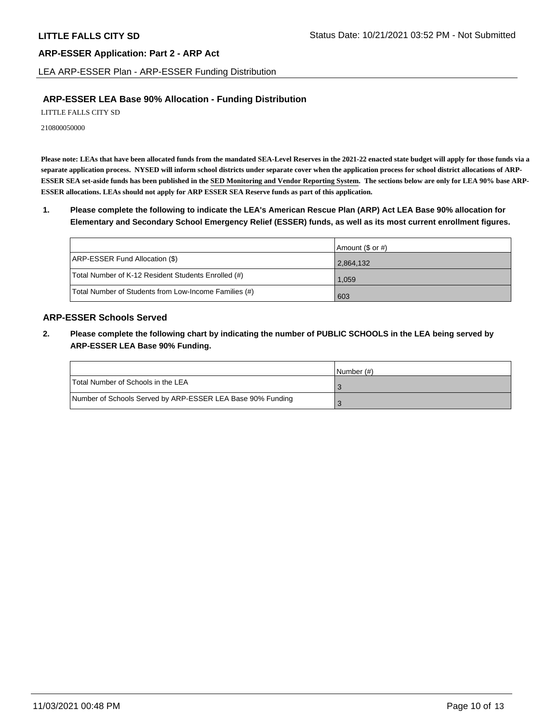LEA ARP-ESSER Plan - ARP-ESSER Funding Distribution

## **ARP-ESSER LEA Base 90% Allocation - Funding Distribution**

LITTLE FALLS CITY SD

210800050000

**Please note: LEAs that have been allocated funds from the mandated SEA-Level Reserves in the 2021-22 enacted state budget will apply for those funds via a separate application process. NYSED will inform school districts under separate cover when the application process for school district allocations of ARP-ESSER SEA set-aside funds has been published in the SED Monitoring and Vendor Reporting System. The sections below are only for LEA 90% base ARP-ESSER allocations. LEAs should not apply for ARP ESSER SEA Reserve funds as part of this application.**

**1. Please complete the following to indicate the LEA's American Rescue Plan (ARP) Act LEA Base 90% allocation for Elementary and Secondary School Emergency Relief (ESSER) funds, as well as its most current enrollment figures.**

|                                                       | Amount (\$ or #) |
|-------------------------------------------------------|------------------|
| ARP-ESSER Fund Allocation (\$)                        | 2,864,132        |
| Total Number of K-12 Resident Students Enrolled (#)   | 1,059            |
| Total Number of Students from Low-Income Families (#) | 603              |

## **ARP-ESSER Schools Served**

**2. Please complete the following chart by indicating the number of PUBLIC SCHOOLS in the LEA being served by ARP-ESSER LEA Base 90% Funding.**

|                                                            | INumber (#) |
|------------------------------------------------------------|-------------|
| Total Number of Schools in the LEA                         |             |
| Number of Schools Served by ARP-ESSER LEA Base 90% Funding |             |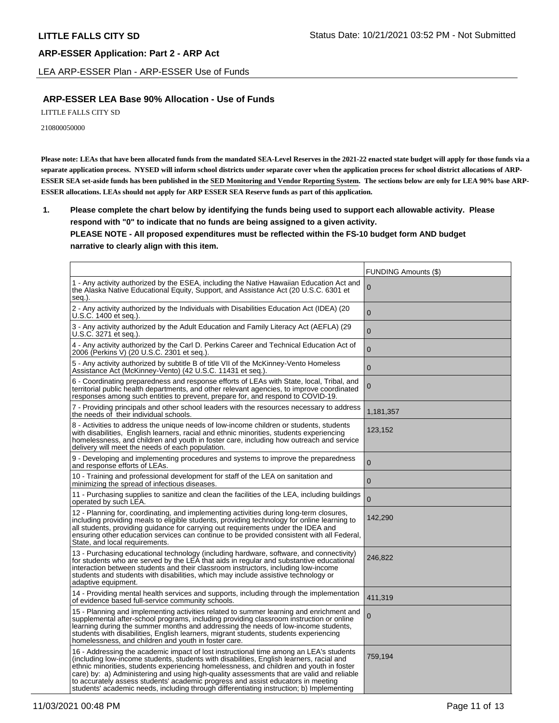LEA ARP-ESSER Plan - ARP-ESSER Use of Funds

## **ARP-ESSER LEA Base 90% Allocation - Use of Funds**

LITTLE FALLS CITY SD

210800050000

**Please note: LEAs that have been allocated funds from the mandated SEA-Level Reserves in the 2021-22 enacted state budget will apply for those funds via a separate application process. NYSED will inform school districts under separate cover when the application process for school district allocations of ARP-ESSER SEA set-aside funds has been published in the SED Monitoring and Vendor Reporting System. The sections below are only for LEA 90% base ARP-ESSER allocations. LEAs should not apply for ARP ESSER SEA Reserve funds as part of this application.**

**1. Please complete the chart below by identifying the funds being used to support each allowable activity. Please respond with "0" to indicate that no funds are being assigned to a given activity. PLEASE NOTE - All proposed expenditures must be reflected within the FS-10 budget form AND budget narrative to clearly align with this item.**

|                                                                                                                                                                                                                                                                                                                                                                                                                                                                                                                                                            | <b>FUNDING Amounts (\$)</b> |
|------------------------------------------------------------------------------------------------------------------------------------------------------------------------------------------------------------------------------------------------------------------------------------------------------------------------------------------------------------------------------------------------------------------------------------------------------------------------------------------------------------------------------------------------------------|-----------------------------|
| 1 - Any activity authorized by the ESEA, including the Native Hawaiian Education Act and<br>the Alaska Native Educational Equity, Support, and Assistance Act (20 U.S.C. 6301 et<br>seg.).                                                                                                                                                                                                                                                                                                                                                                 | 0                           |
| 2 - Any activity authorized by the Individuals with Disabilities Education Act (IDEA) (20<br>U.S.C. 1400 et seg.).                                                                                                                                                                                                                                                                                                                                                                                                                                         | $\Omega$                    |
| 3 - Any activity authorized by the Adult Education and Family Literacy Act (AEFLA) (29<br>U.S.C. 3271 et seq.).                                                                                                                                                                                                                                                                                                                                                                                                                                            | $\overline{0}$              |
| 4 - Any activity authorized by the Carl D. Perkins Career and Technical Education Act of<br>2006 (Perkins V) (20 U.S.C. 2301 et seq.).                                                                                                                                                                                                                                                                                                                                                                                                                     | $\mathbf{0}$                |
| 5 - Any activity authorized by subtitle B of title VII of the McKinney-Vento Homeless<br>Assistance Act (McKinney-Vento) (42 U.S.C. 11431 et seq.).                                                                                                                                                                                                                                                                                                                                                                                                        | $\mathbf{0}$                |
| 6 - Coordinating preparedness and response efforts of LEAs with State, local, Tribal, and<br>territorial public health departments, and other relevant agencies, to improve coordinated<br>responses among such entities to prevent, prepare for, and respond to COVID-19.                                                                                                                                                                                                                                                                                 | $\mathbf 0$                 |
| 7 - Providing principals and other school leaders with the resources necessary to address<br>the needs of their individual schools.                                                                                                                                                                                                                                                                                                                                                                                                                        | 1,181,357                   |
| 8 - Activities to address the unique needs of low-income children or students, students<br>with disabilities, English learners, racial and ethnic minorities, students experiencing<br>homelessness, and children and youth in foster care, including how outreach and service<br>delivery will meet the needs of each population.                                                                                                                                                                                                                         | 123,152                     |
| 9 - Developing and implementing procedures and systems to improve the preparedness<br>and response efforts of LEAs.                                                                                                                                                                                                                                                                                                                                                                                                                                        | $\mathbf 0$                 |
| 10 - Training and professional development for staff of the LEA on sanitation and<br>minimizing the spread of infectious diseases.                                                                                                                                                                                                                                                                                                                                                                                                                         | $\mathbf{0}$                |
| 11 - Purchasing supplies to sanitize and clean the facilities of the LEA, including buildings<br>operated by such LEA.                                                                                                                                                                                                                                                                                                                                                                                                                                     | $\overline{0}$              |
| 12 - Planning for, coordinating, and implementing activities during long-term closures,<br>including providing meals to eligible students, providing technology for online learning to<br>all students, providing guidance for carrying out requirements under the IDEA and<br>ensuring other education services can continue to be provided consistent with all Federal,<br>State, and local requirements.                                                                                                                                                | 142,290                     |
| 13 - Purchasing educational technology (including hardware, software, and connectivity)<br>for students who are served by the LEA that aids in regular and substantive educational<br>interaction between students and their classroom instructors, including low-income<br>students and students with disabilities, which may include assistive technology or<br>adaptive equipment.                                                                                                                                                                      | 246,822                     |
| 14 - Providing mental health services and supports, including through the implementation<br>of evidence based full-service community schools.                                                                                                                                                                                                                                                                                                                                                                                                              | 411,319                     |
| 15 - Planning and implementing activities related to summer learning and enrichment and<br>supplemental after-school programs, including providing classroom instruction or online<br>learning during the summer months and addressing the needs of low-income students,<br>students with disabilities, English learners, migrant students, students experiencing<br>homelessness, and children and youth in foster care.                                                                                                                                  | 0                           |
| 16 - Addressing the academic impact of lost instructional time among an LEA's students<br>(including low-income students, students with disabilities, English learners, racial and<br>ethnic minorities, students experiencing homelessness, and children and youth in foster<br>care) by: a) Administering and using high-quality assessments that are valid and reliable<br>to accurately assess students' academic progress and assist educators in meeting<br>students' academic needs, including through differentiating instruction; b) Implementing | 759,194                     |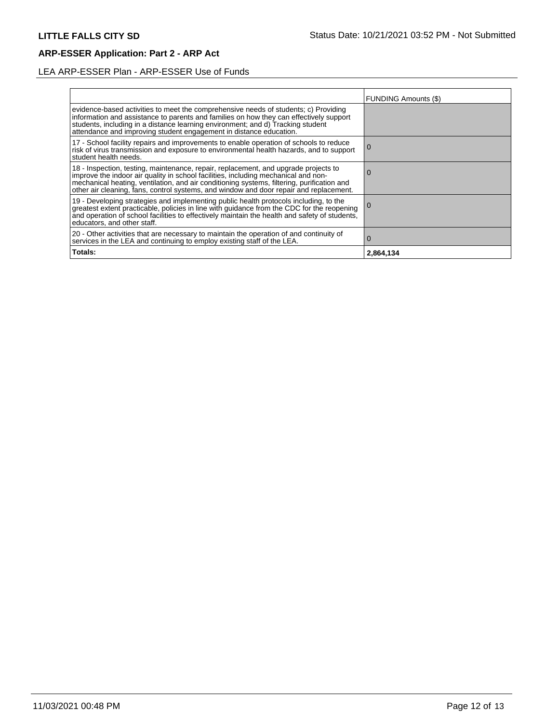# LEA ARP-ESSER Plan - ARP-ESSER Use of Funds

|                                                                                                                                                                                                                                                                                                                                                                | <b>FUNDING Amounts (\$)</b> |
|----------------------------------------------------------------------------------------------------------------------------------------------------------------------------------------------------------------------------------------------------------------------------------------------------------------------------------------------------------------|-----------------------------|
| evidence-based activities to meet the comprehensive needs of students; c) Providing<br>information and assistance to parents and families on how they can effectively support<br>students, including in a distance learning environment; and d) Tracking student<br>attendance and improving student engagement in distance education.                         |                             |
| 17 - School facility repairs and improvements to enable operation of schools to reduce<br>risk of virus transmission and exposure to environmental health hazards, and to support<br>student health needs.                                                                                                                                                     | 0                           |
| 18 - Inspection, testing, maintenance, repair, replacement, and upgrade projects to improve the indoor air quality in school facilities, including mechanical and non-<br>mechanical heating, ventilation, and air conditioning systems, filtering, purification and<br>other air cleaning, fans, control systems, and window and door repair and replacement. | U                           |
| 19 - Developing strategies and implementing public health protocols including, to the<br>greatest extent practicable, policies in line with guidance from the CDC for the reopening<br>and operation of school facilities to effectively maintain the health and safety of students,<br>educators, and other staff.                                            |                             |
| 20 - Other activities that are necessary to maintain the operation of and continuity of<br>services in the LEA and continuing to employ existing staff of the LEA.                                                                                                                                                                                             | 0                           |
| Totals:                                                                                                                                                                                                                                                                                                                                                        | 2,864,134                   |